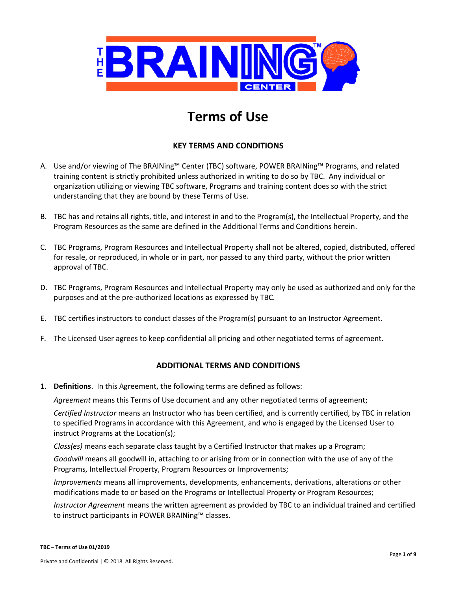

# **Terms of Use**

## **KEY TERMS AND CONDITIONS**

- A. Use and/or viewing of The BRAINing™ Center (TBC) software, POWER BRAINing™ Programs, and related training content is strictly prohibited unless authorized in writing to do so by TBC. Any individual or organization utilizing or viewing TBC software, Programs and training content does so with the strict understanding that they are bound by these Terms of Use.
- B. TBC has and retains all rights, title, and interest in and to the Program(s), the Intellectual Property, and the Program Resources as the same are defined in the Additional Terms and Conditions herein.
- C. TBC Programs, Program Resources and Intellectual Property shall not be altered, copied, distributed, offered for resale, or reproduced, in whole or in part, nor passed to any third party, without the prior written approval of TBC.
- D. TBC Programs, Program Resources and Intellectual Property may only be used as authorized and only for the purposes and at the pre-authorized locations as expressed by TBC.
- E. TBC certifies instructors to conduct classes of the Program(s) pursuant to an Instructor Agreement.
- F. The Licensed User agrees to keep confidential all pricing and other negotiated terms of agreement.

## **ADDITIONAL TERMS AND CONDITIONS**

1. **Definitions**. In this Agreement, the following terms are defined as follows:

*Agreement* means this Terms of Use document and any other negotiated terms of agreement;

*Certified Instructor* means an Instructor who has been certified, and is currently certified, by TBC in relation to specified Programs in accordance with this Agreement, and who is engaged by the Licensed User to instruct Programs at the Location(s);

*Class(es)* means each separate class taught by a Certified Instructor that makes up a Program;

*Goodwill* means all goodwill in, attaching to or arising from or in connection with the use of any of the Programs, Intellectual Property, Program Resources or Improvements;

*Improvements* means all improvements, developments, enhancements, derivations, alterations or other modifications made to or based on the Programs or Intellectual Property or Program Resources;

*Instructor Agreement* means the written agreement as provided by TBC to an individual trained and certified to instruct participants in POWER BRAINing™ classes.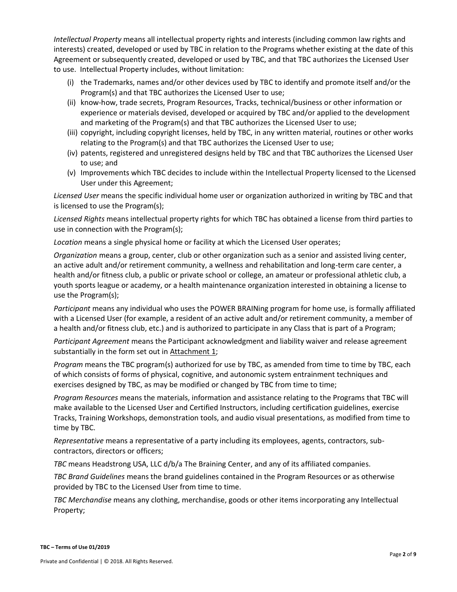*Intellectual Property* means all intellectual property rights and interests (including common law rights and interests) created, developed or used by TBC in relation to the Programs whether existing at the date of this Agreement or subsequently created, developed or used by TBC, and that TBC authorizes the Licensed User to use. Intellectual Property includes, without limitation:

- (i) the Trademarks, names and/or other devices used by TBC to identify and promote itself and/or the Program(s) and that TBC authorizes the Licensed User to use;
- (ii) know-how, trade secrets, Program Resources, Tracks, technical/business or other information or experience or materials devised, developed or acquired by TBC and/or applied to the development and marketing of the Program(s) and that TBC authorizes the Licensed User to use;
- (iii) copyright, including copyright licenses, held by TBC, in any written material, routines or other works relating to the Program(s) and that TBC authorizes the Licensed User to use;
- (iv) patents, registered and unregistered designs held by TBC and that TBC authorizes the Licensed User to use; and
- (v) Improvements which TBC decides to include within the Intellectual Property licensed to the Licensed User under this Agreement;

*Licensed User* means the specific individual home user or organization authorized in writing by TBC and that is licensed to use the Program(s);

*Licensed Rights* means intellectual property rights for which TBC has obtained a license from third parties to use in connection with the Program(s);

*Location* means a single physical home or facility at which the Licensed User operates;

*Organization* means a group, center, club or other organization such as a senior and assisted living center, an active adult and/or retirement community, a wellness and rehabilitation and long-term care center, a health and/or fitness club, a public or private school or college, an amateur or professional athletic club, a youth sports league or academy, or a health maintenance organization interested in obtaining a license to use the Program(s);

*Participant* means any individual who uses the POWER BRAINing program for home use, is formally affiliated with a Licensed User (for example, a resident of an active adult and/or retirement community, a member of a health and/or fitness club, etc.) and is authorized to participate in any Class that is part of a Program;

*Participant Agreement* means the Participant acknowledgment and liability waiver and release agreement substantially in the form set out in  $Attention$ 

*Program* means the TBC program(s) authorized for use by TBC, as amended from time to time by TBC, each of which consists of forms of physical, cognitive, and autonomic system entrainment techniques and exercises designed by TBC, as may be modified or changed by TBC from time to time;

*Program Resources* means the materials, information and assistance relating to the Programs that TBC will make available to the Licensed User and Certified Instructors, including certification guidelines, exercise Tracks, Training Workshops, demonstration tools, and audio visual presentations, as modified from time to time by TBC.

*Representative* means a representative of a party including its employees, agents, contractors, subcontractors, directors or officers;

*TBC* means Headstrong USA, LLC d/b/a The Braining Center, and any of its affiliated companies.

*TBC Brand Guidelines* means the brand guidelines contained in the Program Resources or as otherwise provided by TBC to the Licensed User from time to time.

*TBC Merchandise* means any clothing, merchandise, goods or other items incorporating any Intellectual Property;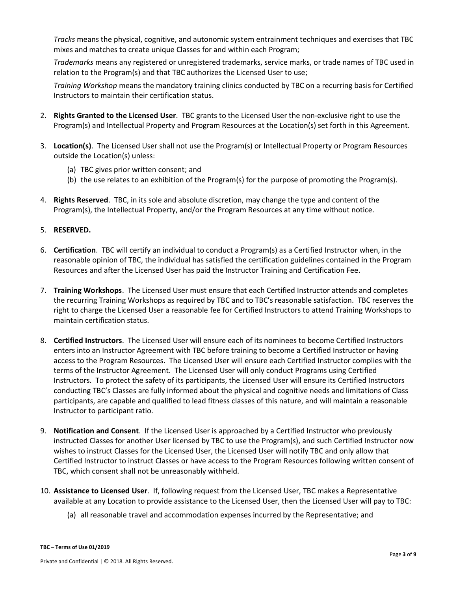*Tracks* means the physical, cognitive, and autonomic system entrainment techniques and exercises that TBC mixes and matches to create unique Classes for and within each Program;

*Trademarks* means any registered or unregistered trademarks, service marks, or trade names of TBC used in relation to the Program(s) and that TBC authorizes the Licensed User to use;

*Training Workshop* means the mandatory training clinics conducted by TBC on a recurring basis for Certified Instructors to maintain their certification status.

- 2. **Rights Granted to the Licensed User**. TBC grants to the Licensed User the non-exclusive right to use the Program(s) and Intellectual Property and Program Resources at the Location(s) set forth in this Agreement.
- 3. **Location(s)**. The Licensed User shall not use the Program(s) or Intellectual Property or Program Resources outside the Location(s) unless:
	- (a) TBC gives prior written consent; and
	- (b) the use relates to an exhibition of the Program(s) for the purpose of promoting the Program(s).
- 4. **Rights Reserved**. TBC, in its sole and absolute discretion, may change the type and content of the Program(s), the Intellectual Property, and/or the Program Resources at any time without notice.

## 5. **RESERVED.**

- 6. **Certification**. TBC will certify an individual to conduct a Program(s) as a Certified Instructor when, in the reasonable opinion of TBC, the individual has satisfied the certification guidelines contained in the Program Resources and after the Licensed User has paid the Instructor Training and Certification Fee.
- 7. **Training Workshops**. The Licensed User must ensure that each Certified Instructor attends and completes the recurring Training Workshops as required by TBC and to TBC's reasonable satisfaction. TBC reserves the right to charge the Licensed User a reasonable fee for Certified Instructors to attend Training Workshops to maintain certification status.
- 8. **Certified Instructors**. The Licensed User will ensure each of its nominees to become Certified Instructors enters into an Instructor Agreement with TBC before training to become a Certified Instructor or having access to the Program Resources. The Licensed User will ensure each Certified Instructor complies with the terms of the Instructor Agreement. The Licensed User will only conduct Programs using Certified Instructors. To protect the safety of its participants, the Licensed User will ensure its Certified Instructors conducting TBC's Classes are fully informed about the physical and cognitive needs and limitations of Class participants, are capable and qualified to lead fitness classes of this nature, and will maintain a reasonable Instructor to participant ratio.
- 9. **Notification and Consent**. If the Licensed User is approached by a Certified Instructor who previously instructed Classes for another User licensed by TBC to use the Program(s), and such Certified Instructor now wishes to instruct Classes for the Licensed User, the Licensed User will notify TBC and only allow that Certified Instructor to instruct Classes or have access to the Program Resources following written consent of TBC, which consent shall not be unreasonably withheld.
- 10. **Assistance to Licensed User**. If, following request from the Licensed User, TBC makes a Representative available at any Location to provide assistance to the Licensed User, then the Licensed User will pay to TBC:
	- (a) all reasonable travel and accommodation expenses incurred by the Representative; and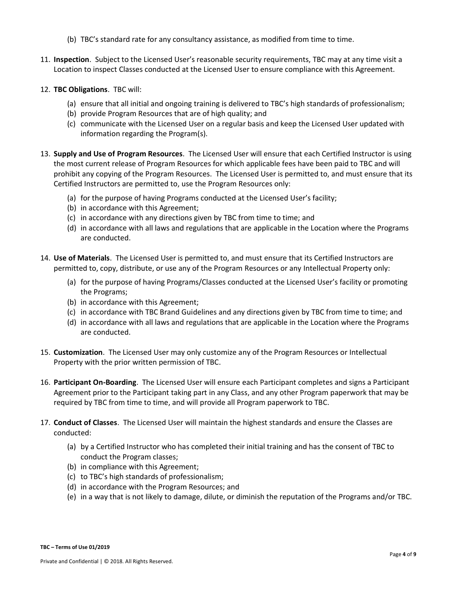- (b) TBC's standard rate for any consultancy assistance, as modified from time to time.
- 11. **Inspection**. Subject to the Licensed User's reasonable security requirements, TBC may at any time visit a Location to inspect Classes conducted at the Licensed User to ensure compliance with this Agreement.
- 12. **TBC Obligations**. TBC will:
	- (a) ensure that all initial and ongoing training is delivered to TBC's high standards of professionalism;
	- (b) provide Program Resources that are of high quality; and
	- (c) communicate with the Licensed User on a regular basis and keep the Licensed User updated with information regarding the Program(s).
- 13. **Supply and Use of Program Resources**. The Licensed User will ensure that each Certified Instructor is using the most current release of Program Resources for which applicable fees have been paid to TBC and will prohibit any copying of the Program Resources. The Licensed User is permitted to, and must ensure that its Certified Instructors are permitted to, use the Program Resources only:
	- (a) for the purpose of having Programs conducted at the Licensed User's facility;
	- (b) in accordance with this Agreement;
	- (c) in accordance with any directions given by TBC from time to time; and
	- (d) in accordance with all laws and regulations that are applicable in the Location where the Programs are conducted.
- 14. **Use of Materials**. The Licensed User is permitted to, and must ensure that its Certified Instructors are permitted to, copy, distribute, or use any of the Program Resources or any Intellectual Property only:
	- (a) for the purpose of having Programs/Classes conducted at the Licensed User's facility or promoting the Programs;
	- (b) in accordance with this Agreement;
	- (c) in accordance with TBC Brand Guidelines and any directions given by TBC from time to time; and
	- (d) in accordance with all laws and regulations that are applicable in the Location where the Programs are conducted.
- 15. **Customization**. The Licensed User may only customize any of the Program Resources or Intellectual Property with the prior written permission of TBC.
- 16. **Participant On-Boarding**. The Licensed User will ensure each Participant completes and signs a Participant Agreement prior to the Participant taking part in any Class, and any other Program paperwork that may be required by TBC from time to time, and will provide all Program paperwork to TBC.
- 17. **Conduct of Classes**. The Licensed User will maintain the highest standards and ensure the Classes are conducted:
	- (a) by a Certified Instructor who has completed their initial training and has the consent of TBC to conduct the Program classes;
	- (b) in compliance with this Agreement;
	- (c) to TBC's high standards of professionalism;
	- (d) in accordance with the Program Resources; and
	- (e) in a way that is not likely to damage, dilute, or diminish the reputation of the Programs and/or TBC.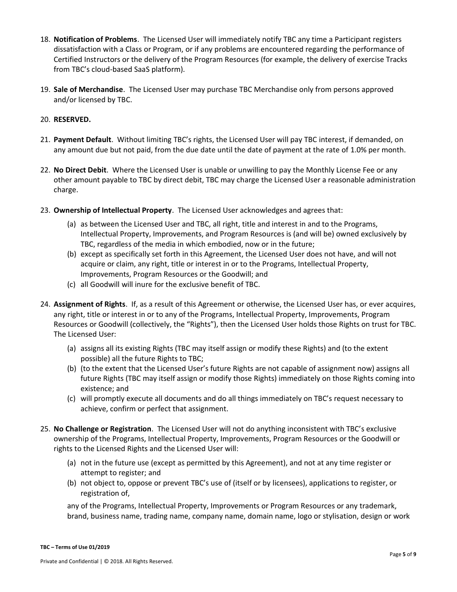- 18. **Notification of Problems**. The Licensed User will immediately notify TBC any time a Participant registers dissatisfaction with a Class or Program, or if any problems are encountered regarding the performance of Certified Instructors or the delivery of the Program Resources (for example, the delivery of exercise Tracks from TBC's cloud-based SaaS platform).
- 19. **Sale of Merchandise**. The Licensed User may purchase TBC Merchandise only from persons approved and/or licensed by TBC.

#### 20. **RESERVED.**

- 21. **Payment Default**. Without limiting TBC's rights, the Licensed User will pay TBC interest, if demanded, on any amount due but not paid, from the due date until the date of payment at the rate of 1.0% per month.
- 22. **No Direct Debit**. Where the Licensed User is unable or unwilling to pay the Monthly License Fee or any other amount payable to TBC by direct debit, TBC may charge the Licensed User a reasonable administration charge.
- 23. **Ownership of Intellectual Property**. The Licensed User acknowledges and agrees that:
	- (a) as between the Licensed User and TBC, all right, title and interest in and to the Programs, Intellectual Property, Improvements, and Program Resources is (and will be) owned exclusively by TBC, regardless of the media in which embodied, now or in the future;
	- (b) except as specifically set forth in this Agreement, the Licensed User does not have, and will not acquire or claim, any right, title or interest in or to the Programs, Intellectual Property, Improvements, Program Resources or the Goodwill; and
	- (c) all Goodwill will inure for the exclusive benefit of TBC.
- 24. **Assignment of Rights**. If, as a result of this Agreement or otherwise, the Licensed User has, or ever acquires, any right, title or interest in or to any of the Programs, Intellectual Property, Improvements, Program Resources or Goodwill (collectively, the "Rights"), then the Licensed User holds those Rights on trust for TBC. The Licensed User:
	- (a) assigns all its existing Rights (TBC may itself assign or modify these Rights) and (to the extent possible) all the future Rights to TBC;
	- (b) (to the extent that the Licensed User's future Rights are not capable of assignment now) assigns all future Rights (TBC may itself assign or modify those Rights) immediately on those Rights coming into existence; and
	- (c) will promptly execute all documents and do all things immediately on TBC's request necessary to achieve, confirm or perfect that assignment.
- 25. **No Challenge or Registration**. The Licensed User will not do anything inconsistent with TBC's exclusive ownership of the Programs, Intellectual Property, Improvements, Program Resources or the Goodwill or rights to the Licensed Rights and the Licensed User will:
	- (a) not in the future use (except as permitted by this Agreement), and not at any time register or attempt to register; and
	- (b) not object to, oppose or prevent TBC's use of (itself or by licensees), applications to register, or registration of,

any of the Programs, Intellectual Property, Improvements or Program Resources or any trademark, brand, business name, trading name, company name, domain name, logo or stylisation, design or work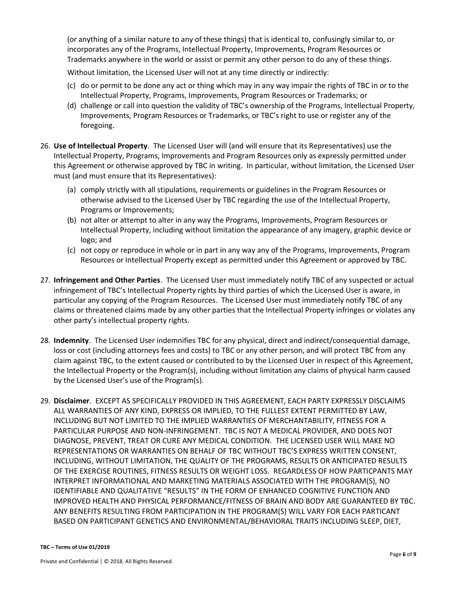(or anything of a similar nature to any of these things) that is identical to, confusingly similar to, or incorporates any of the Programs, Intellectual Property, Improvements, Program Resources or Trademarks anywhere in the world or assist or permit any other person to do any of these things.

Without limitation, the Licensed User will not at any time directly or indirectly:

- (c) do or permit to be done any act or thing which may in any way impair the rights of TBC in or to the Intellectual Property, Programs, Improvements, Program Resources or Trademarks; or
- (d) challenge or call into question the validity of TBC's ownership of the Programs, Intellectual Property, Improvements, Program Resources or Trademarks, or TBC's right to use or register any of the foregoing.
- 26. **Use of Intellectual Property**. The Licensed User will (and will ensure that its Representatives) use the Intellectual Property, Programs, Improvements and Program Resources only as expressly permitted under this Agreement or otherwise approved by TBC in writing. In particular, without limitation, the Licensed User must (and must ensure that its Representatives):
	- (a) comply strictly with all stipulations, requirements or guidelines in the Program Resources or otherwise advised to the Licensed User by TBC regarding the use of the Intellectual Property, Programs or Improvements;
	- (b) not alter or attempt to alter in any way the Programs, Improvements, Program Resources or Intellectual Property, including without limitation the appearance of any imagery, graphic device or logo; and
	- (c) not copy or reproduce in whole or in part in any way any of the Programs, Improvements, Program Resources or Intellectual Property except as permitted under this Agreement or approved by TBC.
- 27. **Infringement and Other Parties**. The Licensed User must immediately notify TBC of any suspected or actual infringement of TBC's Intellectual Property rights by third parties of which the Licensed User is aware, in particular any copying of the Program Resources. The Licensed User must immediately notify TBC of any claims or threatened claims made by any other parties that the Intellectual Property infringes or violates any other party's intellectual property rights.
- 28. **Indemnity**. The Licensed User indemnifies TBC for any physical, direct and indirect/consequential damage, loss or cost (including attorneys fees and costs) to TBC or any other person, and will protect TBC from any claim against TBC, to the extent caused or contributed to by the Licensed User in respect of this Agreement, the Intellectual Property or the Program(s), including without limitation any claims of physical harm caused by the Licensed User's use of the Program(s).
- 29. **Disclaimer**. EXCEPT AS SPECIFICALLY PROVIDED IN THIS AGREEMENT, EACH PARTY EXPRESSLY DISCLAIMS ALL WARRANTIES OF ANY KIND, EXPRESS OR IMPLIED, TO THE FULLEST EXTENT PERMITTED BY LAW, INCLUDING BUT NOT LIMITED TO THE IMPLIED WARRANTIES OF MERCHANTABILITY, FITNESS FOR A PARTICULAR PURPOSE AND NON-INFRINGEMENT. TBC IS NOT A MEDICAL PROVIDER, AND DOES NOT DIAGNOSE, PREVENT, TREAT OR CURE ANY MEDICAL CONDITION. THE LICENSED USER WILL MAKE NO REPRESENTATIONS OR WARRANTIES ON BEHALF OF TBC WITHOUT TBC'S EXPRESS WRITTEN CONSENT, INCLUDING, WITHOUT LIMITATION, THE QUALITY OF THE PROGRAMS, RESULTS OR ANTICIPATED RESULTS OF THE EXERCISE ROUTINES, FITNESS RESULTS OR WEIGHT LOSS. REGARDLESS OF HOW PARTICPANTS MAY INTERPRET INFORMATIONAL AND MARKETING MATERIALS ASSOCIATED WITH THE PROGRAM(S), NO IDENTIFIABLE AND QUALITATIVE "RESULTS" IN THE FORM OF ENHANCED COGNITIVE FUNCTION AND IMPROVED HEALTH AND PHYSICAL PERFORMANCE/FITNESS OF BRAIN AND BODY ARE GUARANTEED BY TBC. ANY BENEFITS RESULTING FROM PARTICIPATION IN THE PROGRAM(S) WILL VARY FOR EACH PARTICANT BASED ON PARTICIPANT GENETICS AND ENVIRONMENTAL/BEHAVIORAL TRAITS INCLUDING SLEEP, DIET,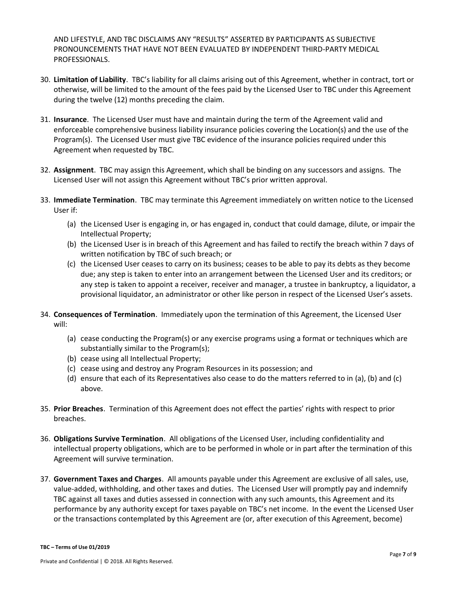AND LIFESTYLE, AND TBC DISCLAIMS ANY "RESULTS" ASSERTED BY PARTICIPANTS AS SUBJECTIVE PRONOUNCEMENTS THAT HAVE NOT BEEN EVALUATED BY INDEPENDENT THIRD-PARTY MEDICAL PROFESSIONALS.

- 30. **Limitation of Liability**. TBC's liability for all claims arising out of this Agreement, whether in contract, tort or otherwise, will be limited to the amount of the fees paid by the Licensed User to TBC under this Agreement during the twelve (12) months preceding the claim.
- 31. **Insurance**. The Licensed User must have and maintain during the term of the Agreement valid and enforceable comprehensive business liability insurance policies covering the Location(s) and the use of the Program(s). The Licensed User must give TBC evidence of the insurance policies required under this Agreement when requested by TBC.
- 32. **Assignment**. TBC may assign this Agreement, which shall be binding on any successors and assigns. The Licensed User will not assign this Agreement without TBC's prior written approval.
- 33. **Immediate Termination**. TBC may terminate this Agreement immediately on written notice to the Licensed User if:
	- (a) the Licensed User is engaging in, or has engaged in, conduct that could damage, dilute, or impair the Intellectual Property;
	- (b) the Licensed User is in breach of this Agreement and has failed to rectify the breach within 7 days of written notification by TBC of such breach; or
	- (c) the Licensed User ceases to carry on its business; ceases to be able to pay its debts as they become due; any step is taken to enter into an arrangement between the Licensed User and its creditors; or any step is taken to appoint a receiver, receiver and manager, a trustee in bankruptcy, a liquidator, a provisional liquidator, an administrator or other like person in respect of the Licensed User's assets.
- 34. **Consequences of Termination**. Immediately upon the termination of this Agreement, the Licensed User will:
	- (a) cease conducting the Program(s) or any exercise programs using a format or techniques which are substantially similar to the Program(s);
	- (b) cease using all Intellectual Property;
	- (c) cease using and destroy any Program Resources in its possession; and
	- (d) ensure that each of its Representatives also cease to do the matters referred to in (a), (b) and (c) above.
- 35. **Prior Breaches**. Termination of this Agreement does not effect the parties' rights with respect to prior breaches.
- 36. **Obligations Survive Termination**. All obligations of the Licensed User, including confidentiality and intellectual property obligations, which are to be performed in whole or in part after the termination of this Agreement will survive termination.
- 37. **Government Taxes and Charges**. All amounts payable under this Agreement are exclusive of all sales, use, value-added, withholding, and other taxes and duties. The Licensed User will promptly pay and indemnify TBC against all taxes and duties assessed in connection with any such amounts, this Agreement and its performance by any authority except for taxes payable on TBC's net income. In the event the Licensed User or the transactions contemplated by this Agreement are (or, after execution of this Agreement, become)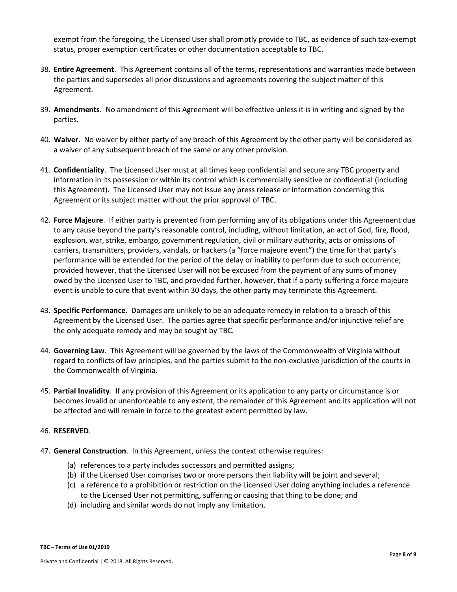exempt from the foregoing, the Licensed User shall promptly provide to TBC, as evidence of such tax-exempt status, proper exemption certificates or other documentation acceptable to TBC.

- 38. **Entire Agreement**. This Agreement contains all of the terms, representations and warranties made between the parties and supersedes all prior discussions and agreements covering the subject matter of this Agreement.
- 39. **Amendments**. No amendment of this Agreement will be effective unless it is in writing and signed by the parties.
- 40. **Waiver**. No waiver by either party of any breach of this Agreement by the other party will be considered as a waiver of any subsequent breach of the same or any other provision.
- 41. **Confidentiality**. The Licensed User must at all times keep confidential and secure any TBC property and information in its possession or within its control which is commercially sensitive or confidential (including this Agreement). The Licensed User may not issue any press release or information concerning this Agreement or its subject matter without the prior approval of TBC.
- 42. **Force Majeure**. If either party is prevented from performing any of its obligations under this Agreement due to any cause beyond the party's reasonable control, including, without limitation, an act of God, fire, flood, explosion, war, strike, embargo, government regulation, civil or military authority, acts or omissions of carriers, transmitters, providers, vandals, or hackers (a "force majeure event") the time for that party's performance will be extended for the period of the delay or inability to perform due to such occurrence; provided however, that the Licensed User will not be excused from the payment of any sums of money owed by the Licensed User to TBC, and provided further, however, that if a party suffering a force majeure event is unable to cure that event within 30 days, the other party may terminate this Agreement.
- 43. **Specific Performance**. Damages are unlikely to be an adequate remedy in relation to a breach of this Agreement by the Licensed User. The parties agree that specific performance and/or injunctive relief are the only adequate remedy and may be sought by TBC.
- 44. **Governing Law**. This Agreement will be governed by the laws of the Commonwealth of Virginia without regard to conflicts of law principles, and the parties submit to the non-exclusive jurisdiction of the courts in the Commonwealth of Virginia.
- 45. **Partial Invalidity**. If any provision of this Agreement or its application to any party or circumstance is or becomes invalid or unenforceable to any extent, the remainder of this Agreement and its application will not be affected and will remain in force to the greatest extent permitted by law.

## 46. **RESERVED**.

- 47. **General Construction**. In this Agreement, unless the context otherwise requires:
	- (a) references to a party includes successors and permitted assigns;
	- (b) if the Licensed User comprises two or more persons their liability will be joint and several;
	- (c) a reference to a prohibition or restriction on the Licensed User doing anything includes a reference to the Licensed User not permitting, suffering or causing that thing to be done; and
	- (d) including and similar words do not imply any limitation.